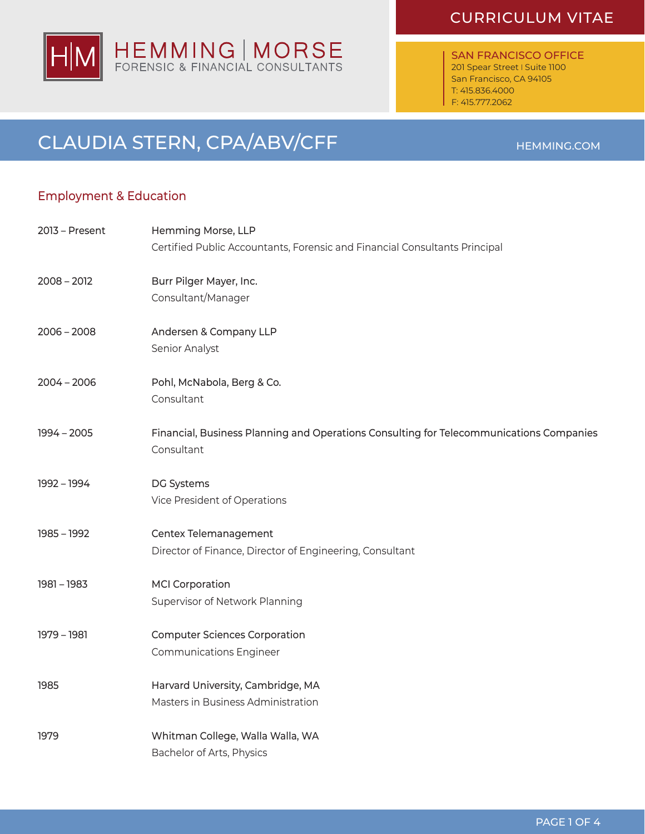# HEMMING | MORSE<br>FORENSIC & FINANCIAL CONSULTANTS lHl

SAN FRANCISCO OFFICE 201 Spear Street I Suite 1100 San Francisco, CA 94105 T: 415.836.4000 F: 415.777.2062

## CLAUDIA STERN, CPA/ABV/CFF HEMMING.COM

#### Employment & Education

| 2013 - Present | Hemming Morse, LLP                                                                      |
|----------------|-----------------------------------------------------------------------------------------|
|                | Certified Public Accountants, Forensic and Financial Consultants Principal              |
| $2008 - 2012$  | Burr Pilger Mayer, Inc.                                                                 |
|                | Consultant/Manager                                                                      |
| $2006 - 2008$  | Andersen & Company LLP                                                                  |
|                | Senior Analyst                                                                          |
| $2004 - 2006$  | Pohl, McNabola, Berg & Co.                                                              |
|                | Consultant                                                                              |
| $1994 - 2005$  | Financial, Business Planning and Operations Consulting for Telecommunications Companies |
|                | Consultant                                                                              |
| 1992 - 1994    | DG Systems                                                                              |
|                | Vice President of Operations                                                            |
| 1985 - 1992    | Centex Telemanagement                                                                   |
|                | Director of Finance, Director of Engineering, Consultant                                |
| $1981 - 1983$  | <b>MCI Corporation</b>                                                                  |
|                | Supervisor of Network Planning                                                          |
| 1979 - 1981    | <b>Computer Sciences Corporation</b>                                                    |
|                | <b>Communications Engineer</b>                                                          |
| 1985           | Harvard University, Cambridge, MA                                                       |
|                | Masters in Business Administration                                                      |
| 1979           | Whitman College, Walla Walla, WA                                                        |
|                | Bachelor of Arts, Physics                                                               |

### CURRICULUM VITAE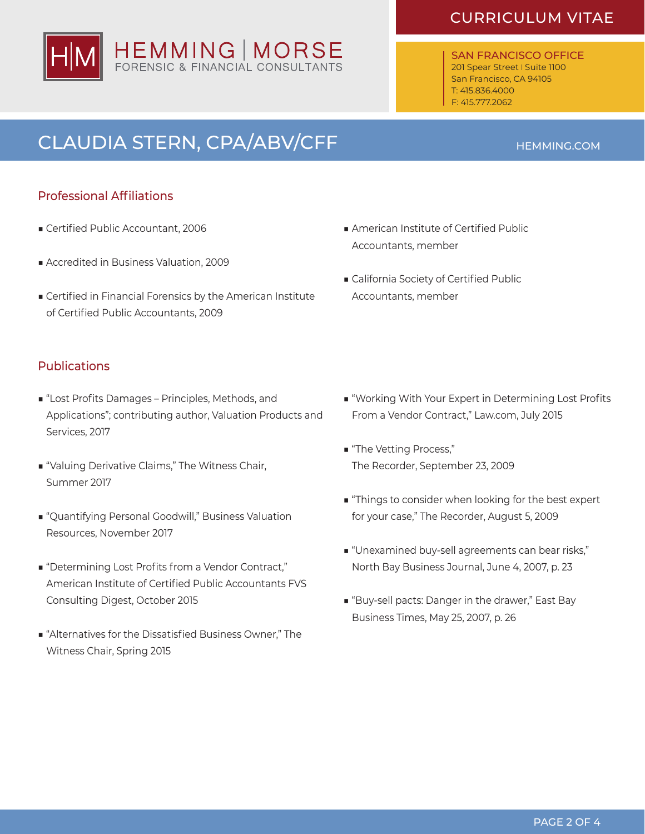# HEMMING | MORSE<br>FORENSIC & FINANCIAL CONSULTANTS

## CURRICULUM VITAE

SAN FRANCISCO OFFICE 201 Spear Street | Suite 1100 San Francisco, CA 94105 T: 415.836.4000 F: 415.777.2062

# CLAUDIA STERN, CPA/ABV/CFF **ACCELLACE CLAUDIA** STERN, CPA/ABV/CFF

#### Professional Affiliations

- Certified Public Accountant, 2006
- Accredited in Business Valuation, 2009
- Certified in Financial Forensics by the American Institute of Certified Public Accountants, 2009

#### **Publications**

- "Lost Profits Damages Principles, Methods, and Applications"; contributing author, Valuation Products and Services, 2017
- "Valuing Derivative Claims," The Witness Chair, Summer 2017
- "Quantifying Personal Goodwill," Business Valuation Resources, November 2017
- "Determining Lost Profits from a Vendor Contract," American Institute of Certified Public Accountants FVS Consulting Digest, October 2015
- "Alternatives for the Dissatisfied Business Owner," The Witness Chair, Spring 2015
- American Institute of Certified Public Accountants, member
- California Society of Certified Public Accountants, member

- "Working With Your Expert in Determining Lost Profits From a Vendor Contract," Law.com, July 2015
- "The Vetting Process," The Recorder, September 23, 2009
- "Things to consider when looking for the best expert for your case," The Recorder, August 5, 2009
- "Unexamined buy-sell agreements can bear risks," North Bay Business Journal, June 4, 2007, p. 23
- "Buy-sell pacts: Danger in the drawer," East Bay Business Times, May 25, 2007, p. 26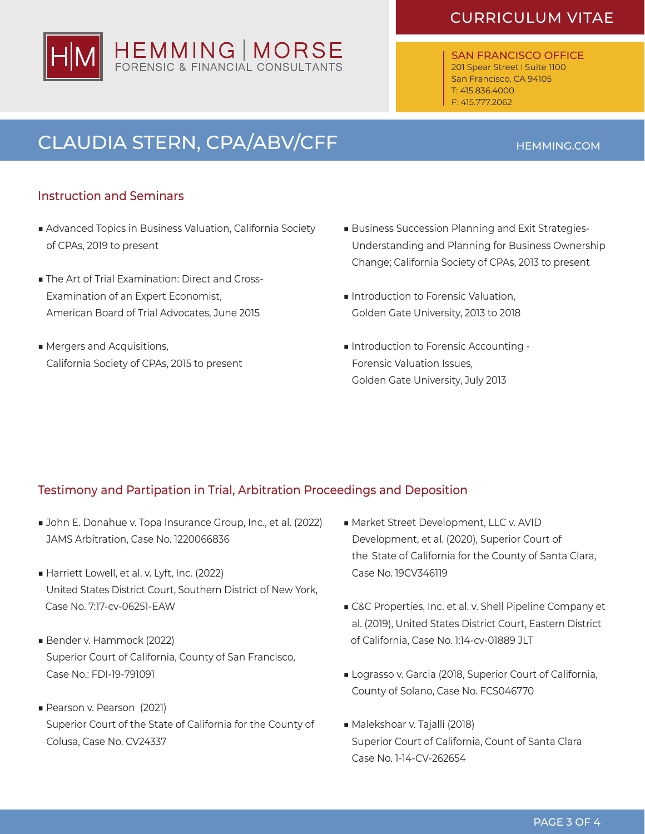# HEMMING | MORSE<br>FORENSIC & FINANCIAL CONSULTANTS

### CURRICULUM VITAE

SAN FRANCISCO OFFICE 201 Spear Street | Suite 1100 San Francisco, CA 94105 T: 415.836.4000 F: 415.777.2062

# CLAUDIA STERN, CPA/ABV/CFF HEMMING.COM

#### Instruction and Seminars

- Advanced Topics in Business Valuation, California Society of CPAs, 2019 to present
- The Art of Trial Examination: Direct and Cross- Examination of an Expert Economist, American Board of Trial Advocates, June 2015
- Mergers and Acquisitions, California Society of CPAs, 2015 to present
- Business Succession Planning and Exit Strategies- Understanding and Planning for Business Ownership Change; California Society of CPAs, 2013 to present
- Introduction to Forensic Valuation, Golden Gate University, 2013 to 2018
- Introduction to Forensic Accounting - Forensic Valuation Issues, Golden Gate University, July 2013

#### Testimony and Partipation in Trial, Arbitration Proceedings and Deposition

- John E. Donahue v. Topa Insurance Group, Inc., et al. (2022) JAMS Arbitration, Case No. 1220066836
- Harriett Lowell, et al. v. Lyft, Inc. (2022) United States District Court, Southern District of New York, Case No. 7:17-cv-06251-EAW
- Bender v. Hammock (2022) Superior Court of California, County of San Francisco, Case No.: FDI-19-791091
- Pearson v. Pearson (2021) Superior Court of the State of California for the County of Colusa, Case No. CV24337
- Market Street Development, LLC v. AVID Development, et al. (2020), Superior Court of the State of California for the County of Santa Clara, Case No. 19CV346119
- C&C Properties, Inc. et al. v. Shell Pipeline Company et al. (2019), United States District Court, Eastern District of California, Case No. 1:14-cv-01889 JLT
- Lograsso v. Garcia (2018, Superior Court of California, County of Solano, Case No. FCS046770
- Malekshoar v. Tajalli (2018) Superior Court of California, Count of Santa Clara Case No. 1-14-CV-262654

#### PAGE 3 OF 4